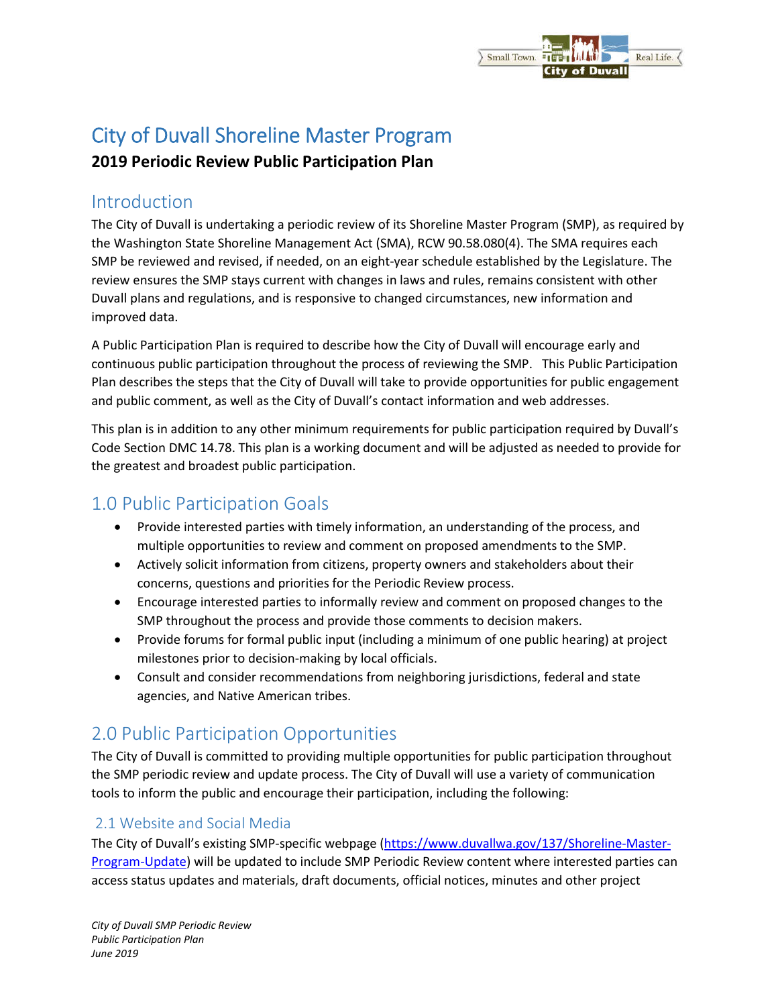#### Small Town. Real Life. of Duvall

# City of Duvall Shoreline Master Program

### **2019 Periodic Review Public Participation Plan**

### Introduction

The City of Duvall is undertaking a periodic review of its Shoreline Master Program (SMP), as required by the Washington State Shoreline Management Act (SMA), RCW 90.58.080(4). The SMA requires each SMP be reviewed and revised, if needed, on an eight-year schedule established by the Legislature. The review ensures the SMP stays current with changes in laws and rules, remains consistent with other Duvall plans and regulations, and is responsive to changed circumstances, new information and improved data.

A Public Participation Plan is required to describe how the City of Duvall will encourage early and continuous public participation throughout the process of reviewing the SMP. This Public Participation Plan describes the steps that the City of Duvall will take to provide opportunities for public engagement and public comment, as well as the City of Duvall's contact information and web addresses.

This plan is in addition to any other minimum requirements for public participation required by Duvall's Code Section DMC 14.78. This plan is a working document and will be adjusted as needed to provide for the greatest and broadest public participation.

# 1.0 Public Participation Goals

- Provide interested parties with timely information, an understanding of the process, and multiple opportunities to review and comment on proposed amendments to the SMP.
- Actively solicit information from citizens, property owners and stakeholders about their concerns, questions and priorities for the Periodic Review process.
- Encourage interested parties to informally review and comment on proposed changes to the SMP throughout the process and provide those comments to decision makers.
- Provide forums for formal public input (including a minimum of one public hearing) at project milestones prior to decision-making by local officials.
- Consult and consider recommendations from neighboring jurisdictions, federal and state agencies, and Native American tribes.

# 2.0 Public Participation Opportunities

The City of Duvall is committed to providing multiple opportunities for public participation throughout the SMP periodic review and update process. The City of Duvall will use a variety of communication tools to inform the public and encourage their participation, including the following:

#### 2.1 Website and Social Media

The City of Duvall's existing SMP-specific webpage (https://www.duvallwa.gov/137/Shoreline-Master-Program-Update) will be updated to include SMP Periodic Review content where interested parties can access status updates and materials, draft documents, official notices, minutes and other project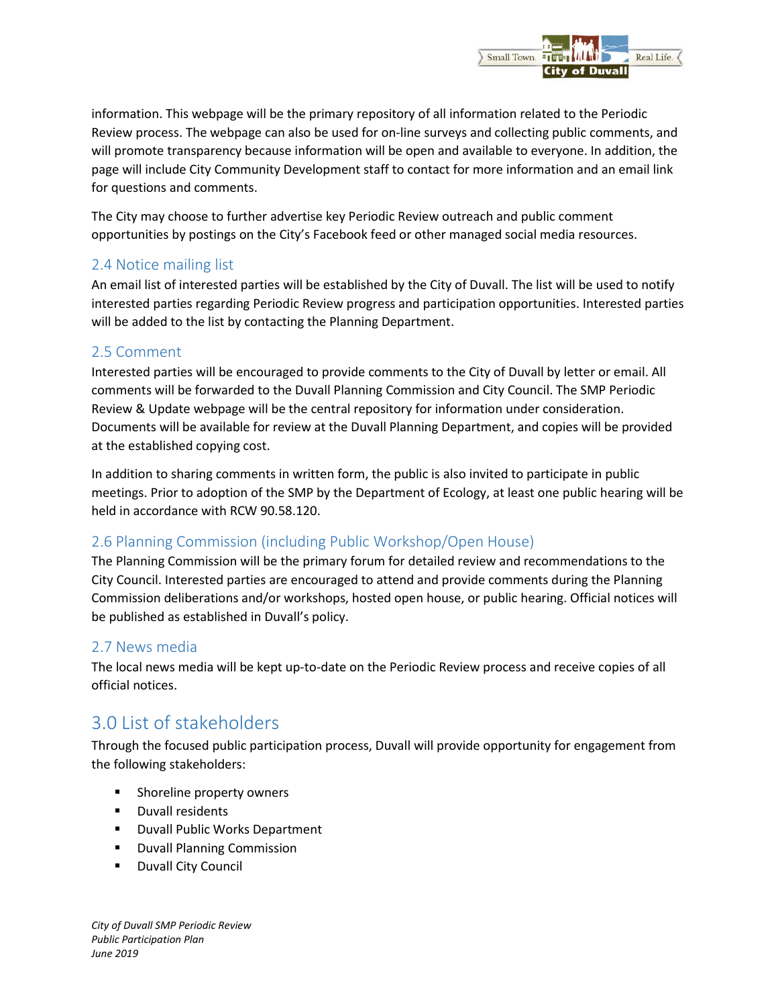

information. This webpage will be the primary repository of all information related to the Periodic Review process. The webpage can also be used for on-line surveys and collecting public comments, and will promote transparency because information will be open and available to everyone. In addition, the page will include City Community Development staff to contact for more information and an email link for questions and comments.

The City may choose to further advertise key Periodic Review outreach and public comment opportunities by postings on the City's Facebook feed or other managed social media resources.

#### 2.4 Notice mailing list

An email list of interested parties will be established by the City of Duvall. The list will be used to notify interested parties regarding Periodic Review progress and participation opportunities. Interested parties will be added to the list by contacting the Planning Department.

#### 2.5 Comment

Interested parties will be encouraged to provide comments to the City of Duvall by letter or email. All comments will be forwarded to the Duvall Planning Commission and City Council. The SMP Periodic Review & Update webpage will be the central repository for information under consideration. Documents will be available for review at the Duvall Planning Department, and copies will be provided at the established copying cost.

In addition to sharing comments in written form, the public is also invited to participate in public meetings. Prior to adoption of the SMP by the Department of Ecology, at least one public hearing will be held in accordance with RCW 90.58.120.

#### 2.6 Planning Commission (including Public Workshop/Open House)

The Planning Commission will be the primary forum for detailed review and recommendations to the City Council. Interested parties are encouraged to attend and provide comments during the Planning Commission deliberations and/or workshops, hosted open house, or public hearing. Official notices will be published as established in Duvall's policy.

#### 2.7 News media

The local news media will be kept up-to-date on the Periodic Review process and receive copies of all official notices.

# 3.0 List of stakeholders

Through the focused public participation process, Duvall will provide opportunity for engagement from the following stakeholders:

- **Shoreline property owners**
- **-** Duvall residents
- **Duvall Public Works Department**
- **-** Duvall Planning Commission
- **Duvall City Council**

*City of Duvall SMP Periodic Review Public Participation Plan June 2019*